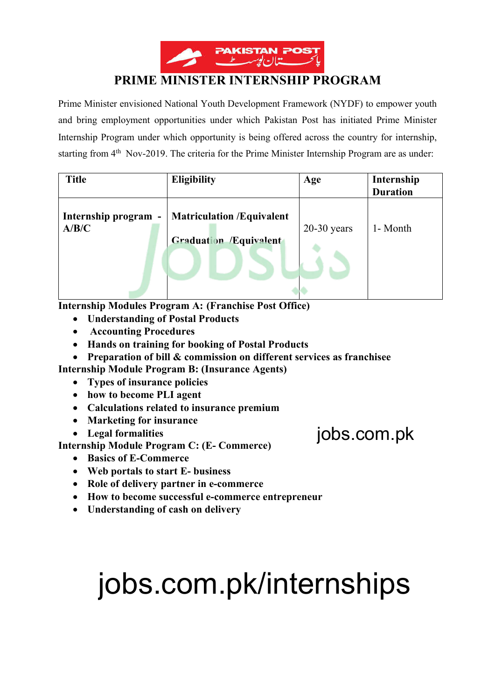

# **PRIME MINISTER INTERNSHIP PROGRAM**

Prime Minister envisioned National Youth Development Framework (NYDF) to empower youth and bring employment opportunities under which Pakistan Post has initiated Prime Minister Internship Program under which opportunity is being offered across the country for internship, starting from 4<sup>th</sup> Nov-2019. The criteria for the Prime Minister Internship Program are as under:

| <b>Title</b>                  | <b>Eligibility</b>                                                | Age           | Internship<br><b>Duration</b> |
|-------------------------------|-------------------------------------------------------------------|---------------|-------------------------------|
| Internship program -<br>A/B/C | <b>Matriculation /Equivalent</b><br><b>Graduation /Equivalent</b> | $20-30$ years | 1- Month                      |

**Internship Modules Program A: (Franchise Post Office)** 

- **Understanding of Postal Products**
- **Accounting Procedures**
- **Hands on training for booking of Postal Products**
- **Preparation of bill & commission on different services as franchisee**

**Internship Module Program B: (Insurance Agents)** 

- **Types of insurance policies**
- **how to become PLI agent**
- **Calculations related to insurance premium**
- **Marketing for insurance**
- **Legal formalities**

**Internship Module Program C: (E- Commerce)** 

- **Basics of E-Commerce**
- **Web portals to start E- business**
- **Role of delivery partner in e-commerce**
- **How to become successful e-commerce entrepreneur**
- **Understanding of cash on delivery**

# jobs.com.pk/internships

jobs.com.pk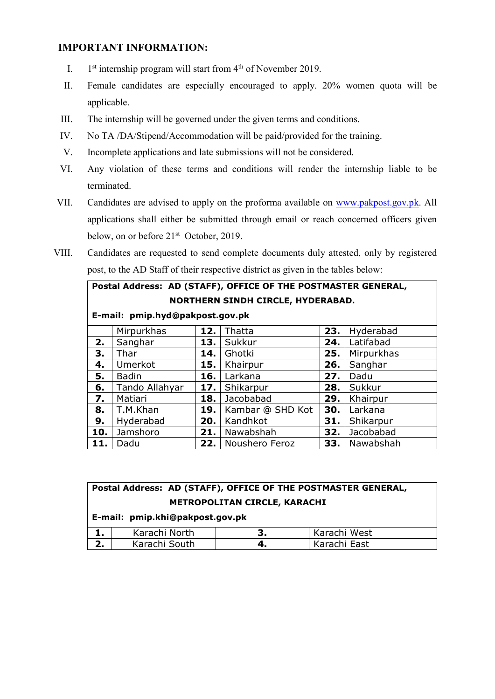## **IMPORTANT INFORMATION:**

- I.  $1<sup>st</sup>$  internship program will start from  $4<sup>th</sup>$  of November 2019.
- II. Female candidates are especially encouraged to apply. 20% women quota will be applicable.
- III. The internship will be governed under the given terms and conditions.
- IV. No TA /DA/Stipend/Accommodation will be paid/provided for the training.
- V. Incomplete applications and late submissions will not be considered.
- VI. Any violation of these terms and conditions will render the internship liable to be terminated.
- VII. Candidates are advised to apply on the proforma available on www.pakpost.gov.pk. All applications shall either be submitted through email or reach concerned officers given below, on or before  $21<sup>st</sup>$  October, 2019.
- VIII. Candidates are requested to send complete documents duly attested, only by registered post, to the AD Staff of their respective district as given in the tables below:

## **Postal Address: AD (STAFF), OFFICE OF THE POSTMASTER GENERAL, NORTHERN SINDH CIRCLE, HYDERABAD.**

**E-mail: pmip.hyd@pakpost.gov.pk**

|     | Mirpurkhas     | 12. | Thatta           | 23. | Hyderabad  |
|-----|----------------|-----|------------------|-----|------------|
| 2.  | Sanghar        | 13. | Sukkur           | 24. | Latifabad  |
| 3.  | Thar           | 14. | Ghotki           | 25. | Mirpurkhas |
| 4.  | Umerkot        | 15. | Khairpur         | 26. | Sanghar    |
| 5.  | <b>Badin</b>   | 16. | Larkana          | 27. | Dadu       |
| 6.  | Tando Allahyar | 17. | Shikarpur        | 28. | Sukkur     |
| 7.  | Matiari        | 18. | Jacobabad        | 29. | Khairpur   |
| 8.  | T.M.Khan       | 19. | Kambar @ SHD Kot | 30. | Larkana    |
| 9.  | Hyderabad      | 20. | Kandhkot         | 31. | Shikarpur  |
| 10. | Jamshoro       | 21. | Nawabshah        | 32. | Jacobabad  |
| 11. | Dadu           | 22. | Noushero Feroz   | 33. | Nawabshah  |

|                              | Postal Address: AD (STAFF), OFFICE OF THE POSTMASTER GENERAL, |   |              |  |  |  |  |  |  |  |
|------------------------------|---------------------------------------------------------------|---|--------------|--|--|--|--|--|--|--|
| METROPOLITAN CIRCLE, KARACHI |                                                               |   |              |  |  |  |  |  |  |  |
|                              | E-mail: pmip.khi@pakpost.gov.pk                               |   |              |  |  |  |  |  |  |  |
|                              | Karachi North                                                 | 3 | Karachi West |  |  |  |  |  |  |  |

|    | Karachi North | Karachi West |
|----|---------------|--------------|
| 4. | Karachi South | Karachi East |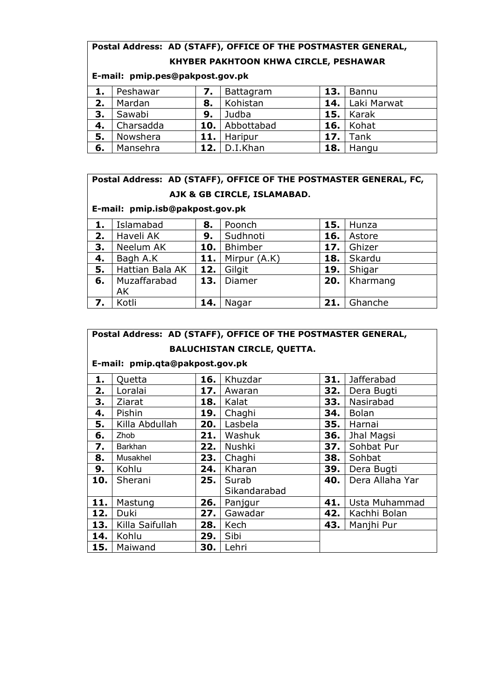# **Postal Address: AD (STAFF), OFFICE OF THE POSTMASTER GENERAL, KHYBER PAKHTOON KHWA CIRCLE, PESHAWAR**

|    | E-mail: pmip.pes@pakpost.gov.pk |     |                  |     |             |  |  |  |  |  |  |
|----|---------------------------------|-----|------------------|-----|-------------|--|--|--|--|--|--|
| 1. | Peshawar                        | 7.  | <b>Battagram</b> | 13. | Bannu       |  |  |  |  |  |  |
| 2. | Mardan                          | 8.  | Kohistan         | 14. | Laki Marwat |  |  |  |  |  |  |
| 3. | Sawabi                          | 9.  | Judba            | 15. | Karak       |  |  |  |  |  |  |
| 4. | Charsadda                       | 10. | Abbottabad       | 16. | Kohat       |  |  |  |  |  |  |
| 5. | Nowshera                        | 11. | Haripur          | 17. | Tank        |  |  |  |  |  |  |
| 6. | Mansehra                        | 12. | D.I.Khan         | 18. | Hangu       |  |  |  |  |  |  |

# **Postal Address: AD (STAFF), OFFICE OF THE POSTMASTER GENERAL, FC, AJK & GB CIRCLE, ISLAMABAD.**

# **E-mail: pmip.isb@pakpost.gov.pk**

| 1. | Islamabad       | 8.  | Poonch       |     | 15. $Hunza$    |
|----|-----------------|-----|--------------|-----|----------------|
| 2. | Haveli AK       | 9.  | Sudhnoti     | 16. | Astore         |
| 3. | Neelum AK       | 10. | Bhimber      |     | 17. Ghizer     |
| 4. | Bagh A.K        | 11. | Mirpur (A.K) |     | $18.$ Skardu   |
| 5. | Hattian Bala AK | 12. | Gilgit       | 19. | Shigar         |
| 6. | Muzaffarabad    | 13. | Diamer       |     | $20.$ Kharmang |
|    | AK              |     |              |     |                |
| 7. | Kotli           | 14. | Nagar        | 21. | Ghanche        |

|                                    | Postal Address: AD (STAFF), OFFICE OF THE POSTMASTER GENERAL, |       |                       |       |                 |  |  |  |  |  |  |
|------------------------------------|---------------------------------------------------------------|-------|-----------------------|-------|-----------------|--|--|--|--|--|--|
| <b>BALUCHISTAN CIRCLE, QUETTA.</b> |                                                               |       |                       |       |                 |  |  |  |  |  |  |
| E-mail: pmip.qta@pakpost.gov.pk    |                                                               |       |                       |       |                 |  |  |  |  |  |  |
| 1.                                 | Quetta                                                        | 31.   | Jafferabad            |       |                 |  |  |  |  |  |  |
| 2.                                 | Loralai                                                       | 17.   | Awaran                | 32.   | Dera Bugti      |  |  |  |  |  |  |
| 3.                                 | Ziarat                                                        | 18.   | Kalat                 | 33.   | Nasirabad       |  |  |  |  |  |  |
| 4.                                 | Pishin                                                        | 19.   | Chaghi                | 34.   | <b>Bolan</b>    |  |  |  |  |  |  |
| 5.                                 | Killa Abdullah                                                | 20.   | Lasbela               | 35.   | Harnai          |  |  |  |  |  |  |
| 6.                                 | Zhob                                                          | 21.   | Washuk                | 36.   | Jhal Magsi      |  |  |  |  |  |  |
| 7.                                 | Barkhan                                                       | 22.   | Nushki                | 37.   | Sohbat Pur      |  |  |  |  |  |  |
| 8.                                 | Musakhel                                                      | 23.   | Chaghi                | 38.   | Sohbat          |  |  |  |  |  |  |
| 9.                                 | Kohlu                                                         | 24.   | Kharan                | 39.   | Dera Bugti      |  |  |  |  |  |  |
| 10.                                | Sherani                                                       | 25. I | Surab<br>Sikandarabad | 40.   | Dera Allaha Yar |  |  |  |  |  |  |
| 11.                                | Mastung                                                       | 26. l | Panjgur               | 41.   | Usta Muhammad   |  |  |  |  |  |  |
| 12.                                | Duki                                                          | 27.   | Gawadar               | 42.   | Kachhi Bolan    |  |  |  |  |  |  |
| 13.                                | Killa Saifullah                                               | 28.   | Kech                  | 43. l | Manjhi Pur      |  |  |  |  |  |  |
| 14.                                | Kohlu                                                         | 29.   | Sibi                  |       |                 |  |  |  |  |  |  |
| 15.                                | Maiwand                                                       | 30.   | Lehri                 |       |                 |  |  |  |  |  |  |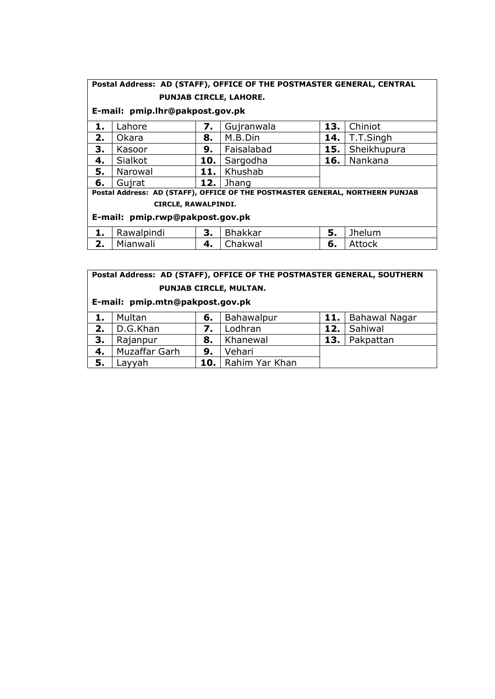# **Postal Address: AD (STAFF), OFFICE OF THE POSTMASTER GENERAL, CENTRAL**

### **PUNJAB CIRCLE, LAHORE.**

#### **E-mail: pmip.lhr@pakpost.gov.pk**

| ı. | _ahore       |     | Gujranwala | 13. | Chiniot           |
|----|--------------|-----|------------|-----|-------------------|
| 2. | <b>Okara</b> | 8.  | M.B.Din    | 14. | $\vert$ T.T.Singh |
| 3. | Kasoor       | 9.  | Faisalabad |     | 15.   Sheikhupura |
| 4. | Sialkot      | 10. | Sargodha   | 16. | Nankana           |
| 5. | Narowal      | 11. | Khushab    |     |                   |
| 6. | Gujrat       | 12. | Jhang      |     |                   |

**Postal Address: AD (STAFF), OFFICE OF THE POSTMASTER GENERAL, NORTHERN PUNJAB CIRCLE, RAWALPINDI.**

#### **E-mail: pmip.rwp@pakpost.gov.pk**

|    | Rawalpindi | <u>.</u> | Bhakkar        | J. | <b>Ihelum</b> |
|----|------------|----------|----------------|----|---------------|
| z. | Mianwali   | т.       | <b>Chakwal</b> | о. | Attock        |

#### **Postal Address: AD (STAFF), OFFICE OF THE POSTMASTER GENERAL, SOUTHERN PUNJAB CIRCLE, MULTAN.**

#### **E-mail: pmip.mtn@pakpost.gov.pk**

|    | Multan        | 6.  | Bahawalpur     |     | 11.   Bahawal Nagar |
|----|---------------|-----|----------------|-----|---------------------|
| 2. | D.G.Khan      |     | Lodhran        |     | 12. Sahiwal         |
| 3. | Rajanpur      | 8.  | Khanewal       | 13. | Pakpattan           |
| 4. | Muzaffar Garh | 9.  | Vehari         |     |                     |
| 5. | ayyah.        | 10. | Rahim Yar Khan |     |                     |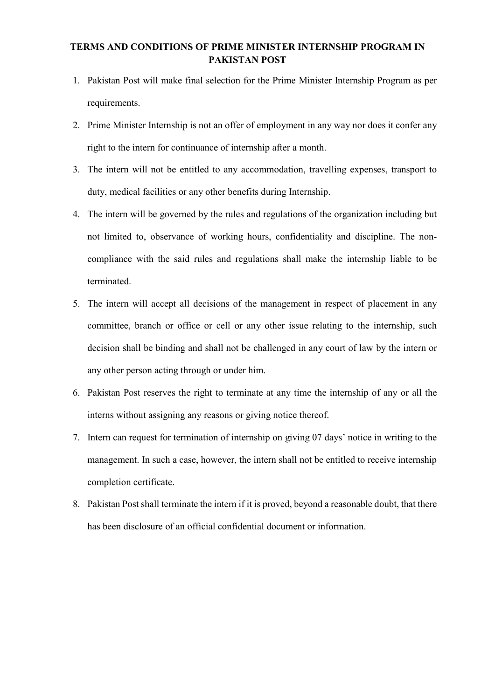#### **TERMS AND CONDITIONS OF PRIME MINISTER INTERNSHIP PROGRAM IN PAKISTAN POST**

- 1. Pakistan Post will make final selection for the Prime Minister Internship Program as per requirements.
- 2. Prime Minister Internship is not an offer of employment in any way nor does it confer any right to the intern for continuance of internship after a month.
- 3. The intern will not be entitled to any accommodation, travelling expenses, transport to duty, medical facilities or any other benefits during Internship.
- 4. The intern will be governed by the rules and regulations of the organization including but not limited to, observance of working hours, confidentiality and discipline. The noncompliance with the said rules and regulations shall make the internship liable to be terminated.
- 5. The intern will accept all decisions of the management in respect of placement in any committee, branch or office or cell or any other issue relating to the internship, such decision shall be binding and shall not be challenged in any court of law by the intern or any other person acting through or under him.
- 6. Pakistan Post reserves the right to terminate at any time the internship of any or all the interns without assigning any reasons or giving notice thereof.
- 7. Intern can request for termination of internship on giving 07 days' notice in writing to the management. In such a case, however, the intern shall not be entitled to receive internship completion certificate.
- 8. Pakistan Post shall terminate the intern if it is proved, beyond a reasonable doubt, that there has been disclosure of an official confidential document or information.